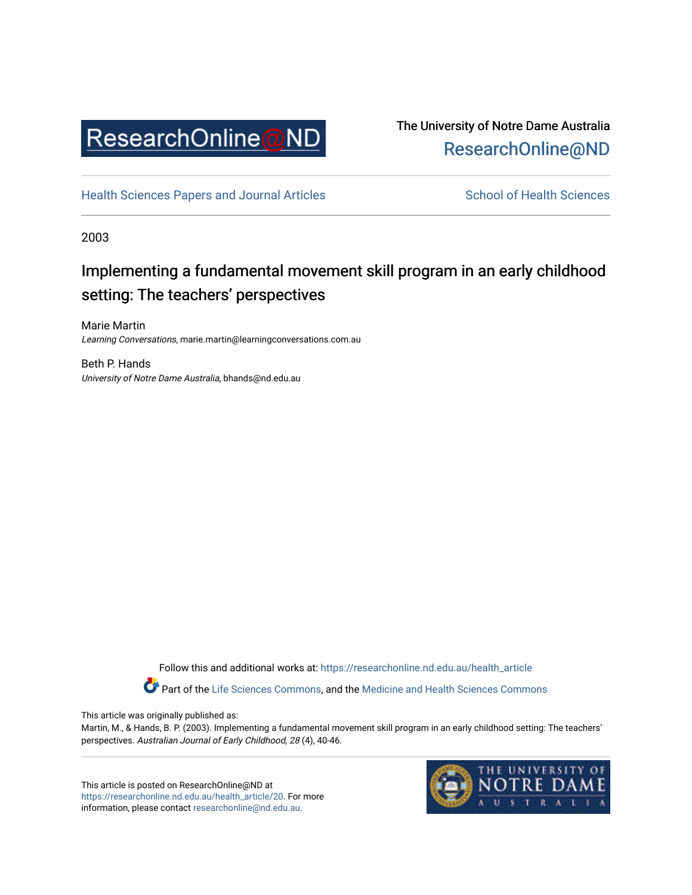

# The University of Notre Dame Australia [ResearchOnline@ND](https://researchonline.nd.edu.au/)

[Health Sciences Papers and Journal Articles](https://researchonline.nd.edu.au/health_article) School of Health Sciences

2003

# Implementing a fundamental movement skill program in an early childhood setting: The teachers' perspectives

Marie Martin Learning Conversations, marie.martin@learningconversations.com.au

Beth P. Hands University of Notre Dame Australia, bhands@nd.edu.au

> Follow this and additional works at: [https://researchonline.nd.edu.au/health\\_article](https://researchonline.nd.edu.au/health_article?utm_source=researchonline.nd.edu.au%2Fhealth_article%2F20&utm_medium=PDF&utm_campaign=PDFCoverPages) Part of the [Life Sciences Commons](http://network.bepress.com/hgg/discipline/1016?utm_source=researchonline.nd.edu.au%2Fhealth_article%2F20&utm_medium=PDF&utm_campaign=PDFCoverPages), and the Medicine and Health Sciences Commons

This article was originally published as:

Martin, M., & Hands, B. P. (2003). Implementing a fundamental movement skill program in an early childhood setting: The teachers' perspectives. Australian Journal of Early Childhood, 28 (4), 40-46.

This article is posted on ResearchOnline@ND at [https://researchonline.nd.edu.au/health\\_article/20.](https://researchonline.nd.edu.au/health_article/20) For more information, please contact [researchonline@nd.edu.au.](mailto:researchonline@nd.edu.au)

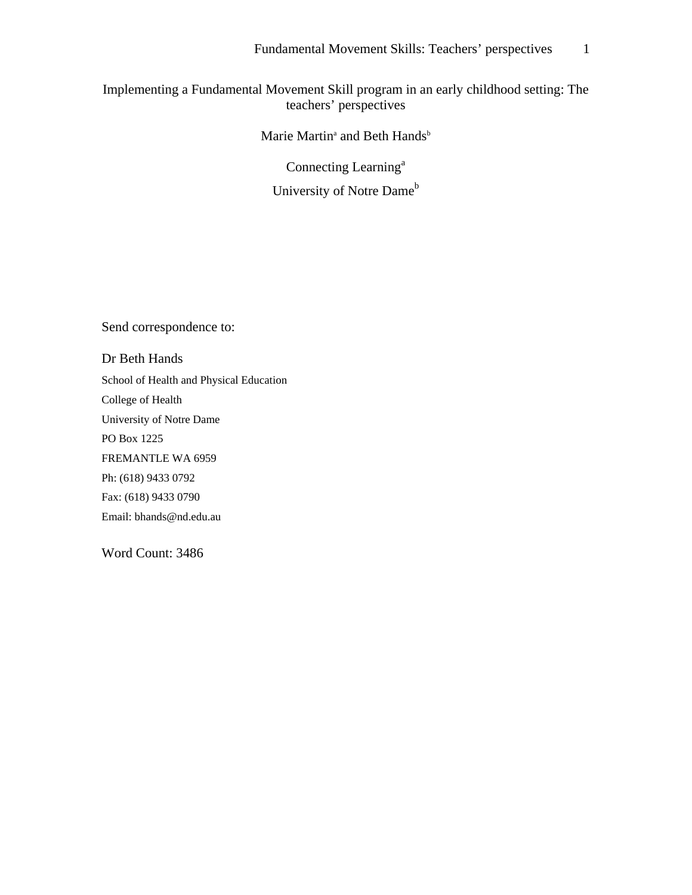# Implementing a Fundamental Movement Skill program in an early childhood setting: The teachers' perspectives

Marie Martin<sup>ª</sup> and Beth Hands<sup>b</sup>

Connecting Learning<sup>a</sup> University of Notre Dame<sup>b</sup>

Send correspondence to:

Dr Beth Hands School of Health and Physical Education College of Health University of Notre Dame PO Box 1225 FREMANTLE WA 6959 Ph: (618) 9433 0792 Fax: (618) 9433 0790 Email: bhands@nd.edu.au

Word Count: 3486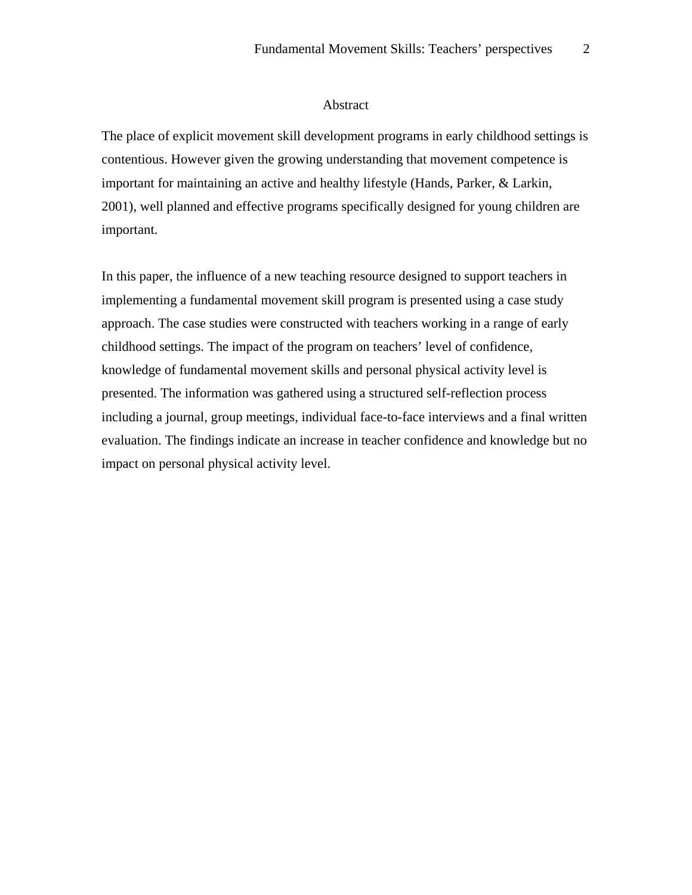# Abstract

The place of explicit movement skill development programs in early childhood settings is contentious. However given the growing understanding that movement competence is important for maintaining an active and healthy lifestyle (Hands, Parker, & Larkin, 2001), well planned and effective programs specifically designed for young children are important.

In this paper, the influence of a new teaching resource designed to support teachers in implementing a fundamental movement skill program is presented using a case study approach. The case studies were constructed with teachers working in a range of early childhood settings. The impact of the program on teachers' level of confidence, knowledge of fundamental movement skills and personal physical activity level is presented. The information was gathered using a structured self-reflection process including a journal, group meetings, individual face-to-face interviews and a final written evaluation. The findings indicate an increase in teacher confidence and knowledge but no impact on personal physical activity level.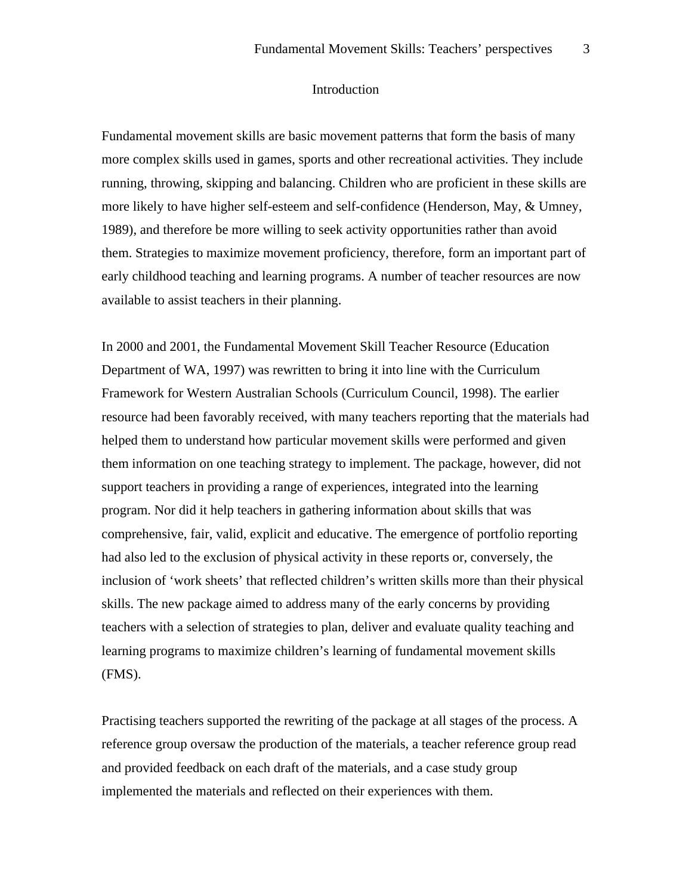### Introduction

Fundamental movement skills are basic movement patterns that form the basis of many more complex skills used in games, sports and other recreational activities. They include running, throwing, skipping and balancing. Children who are proficient in these skills are more likely to have higher self-esteem and self-confidence (Henderson, May, & Umney, 1989), and therefore be more willing to seek activity opportunities rather than avoid them. Strategies to maximize movement proficiency, therefore, form an important part of early childhood teaching and learning programs. A number of teacher resources are now available to assist teachers in their planning.

In 2000 and 2001, the Fundamental Movement Skill Teacher Resource (Education Department of WA, 1997) was rewritten to bring it into line with the Curriculum Framework for Western Australian Schools (Curriculum Council, 1998). The earlier resource had been favorably received, with many teachers reporting that the materials had helped them to understand how particular movement skills were performed and given them information on one teaching strategy to implement. The package, however, did not support teachers in providing a range of experiences, integrated into the learning program. Nor did it help teachers in gathering information about skills that was comprehensive, fair, valid, explicit and educative. The emergence of portfolio reporting had also led to the exclusion of physical activity in these reports or, conversely, the inclusion of 'work sheets' that reflected children's written skills more than their physical skills. The new package aimed to address many of the early concerns by providing teachers with a selection of strategies to plan, deliver and evaluate quality teaching and learning programs to maximize children's learning of fundamental movement skills (FMS).

Practising teachers supported the rewriting of the package at all stages of the process. A reference group oversaw the production of the materials, a teacher reference group read and provided feedback on each draft of the materials, and a case study group implemented the materials and reflected on their experiences with them.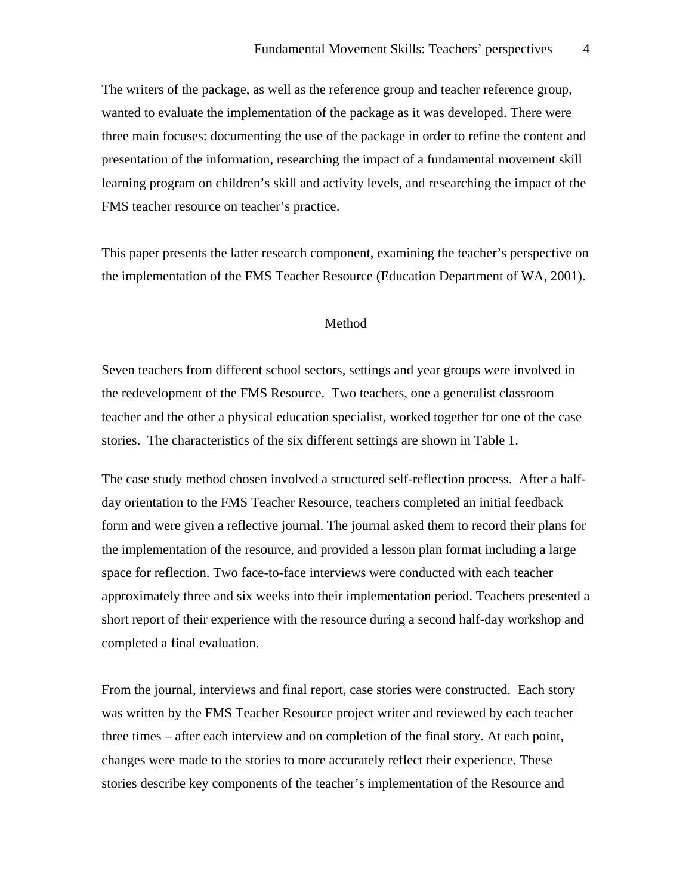The writers of the package, as well as the reference group and teacher reference group, wanted to evaluate the implementation of the package as it was developed. There were three main focuses: documenting the use of the package in order to refine the content and presentation of the information, researching the impact of a fundamental movement skill learning program on children's skill and activity levels, and researching the impact of the FMS teacher resource on teacher's practice.

This paper presents the latter research component, examining the teacher's perspective on the implementation of the FMS Teacher Resource (Education Department of WA, 2001).

## Method

Seven teachers from different school sectors, settings and year groups were involved in the redevelopment of the FMS Resource. Two teachers, one a generalist classroom teacher and the other a physical education specialist, worked together for one of the case stories. The characteristics of the six different settings are shown in Table 1.

The case study method chosen involved a structured self-reflection process. After a halfday orientation to the FMS Teacher Resource, teachers completed an initial feedback form and were given a reflective journal. The journal asked them to record their plans for the implementation of the resource, and provided a lesson plan format including a large space for reflection. Two face-to-face interviews were conducted with each teacher approximately three and six weeks into their implementation period. Teachers presented a short report of their experience with the resource during a second half-day workshop and completed a final evaluation.

From the journal, interviews and final report, case stories were constructed. Each story was written by the FMS Teacher Resource project writer and reviewed by each teacher three times – after each interview and on completion of the final story. At each point, changes were made to the stories to more accurately reflect their experience. These stories describe key components of the teacher's implementation of the Resource and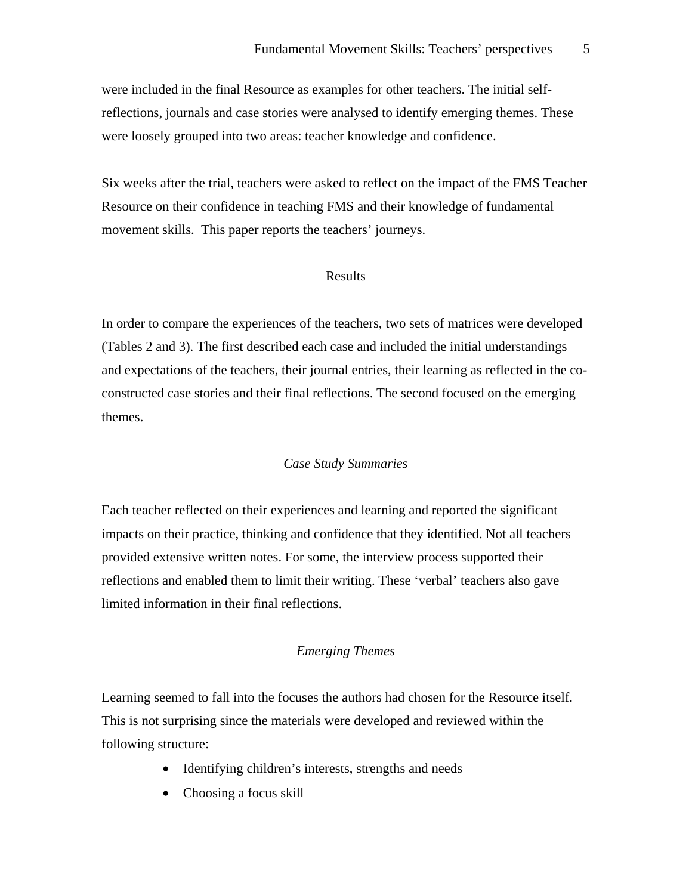were included in the final Resource as examples for other teachers. The initial selfreflections, journals and case stories were analysed to identify emerging themes. These were loosely grouped into two areas: teacher knowledge and confidence.

Six weeks after the trial, teachers were asked to reflect on the impact of the FMS Teacher Resource on their confidence in teaching FMS and their knowledge of fundamental movement skills. This paper reports the teachers' journeys.

## Results

In order to compare the experiences of the teachers, two sets of matrices were developed (Tables 2 and 3). The first described each case and included the initial understandings and expectations of the teachers, their journal entries, their learning as reflected in the coconstructed case stories and their final reflections. The second focused on the emerging themes.

### *Case Study Summaries*

Each teacher reflected on their experiences and learning and reported the significant impacts on their practice, thinking and confidence that they identified. Not all teachers provided extensive written notes. For some, the interview process supported their reflections and enabled them to limit their writing. These 'verbal' teachers also gave limited information in their final reflections.

#### *Emerging Themes*

Learning seemed to fall into the focuses the authors had chosen for the Resource itself. This is not surprising since the materials were developed and reviewed within the following structure:

- Identifying children's interests, strengths and needs
- Choosing a focus skill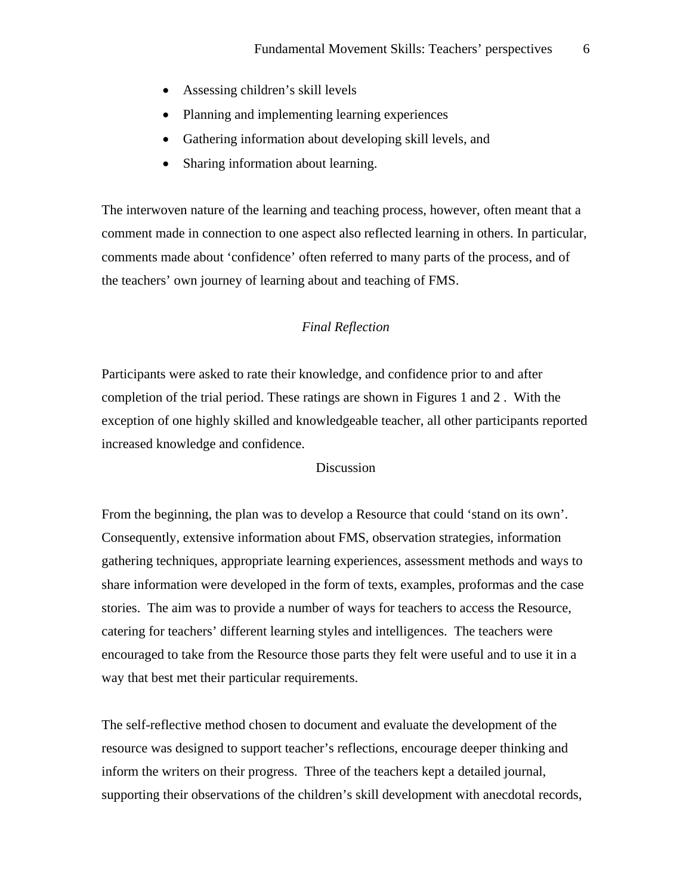- Assessing children's skill levels
- Planning and implementing learning experiences
- Gathering information about developing skill levels, and
- Sharing information about learning.

The interwoven nature of the learning and teaching process, however, often meant that a comment made in connection to one aspect also reflected learning in others. In particular, comments made about 'confidence' often referred to many parts of the process, and of the teachers' own journey of learning about and teaching of FMS.

## *Final Reflection*

Participants were asked to rate their knowledge, and confidence prior to and after completion of the trial period. These ratings are shown in Figures 1 and 2 . With the exception of one highly skilled and knowledgeable teacher, all other participants reported increased knowledge and confidence.

## Discussion

From the beginning, the plan was to develop a Resource that could 'stand on its own'. Consequently, extensive information about FMS, observation strategies, information gathering techniques, appropriate learning experiences, assessment methods and ways to share information were developed in the form of texts, examples, proformas and the case stories. The aim was to provide a number of ways for teachers to access the Resource, catering for teachers' different learning styles and intelligences. The teachers were encouraged to take from the Resource those parts they felt were useful and to use it in a way that best met their particular requirements.

The self-reflective method chosen to document and evaluate the development of the resource was designed to support teacher's reflections, encourage deeper thinking and inform the writers on their progress. Three of the teachers kept a detailed journal, supporting their observations of the children's skill development with anecdotal records,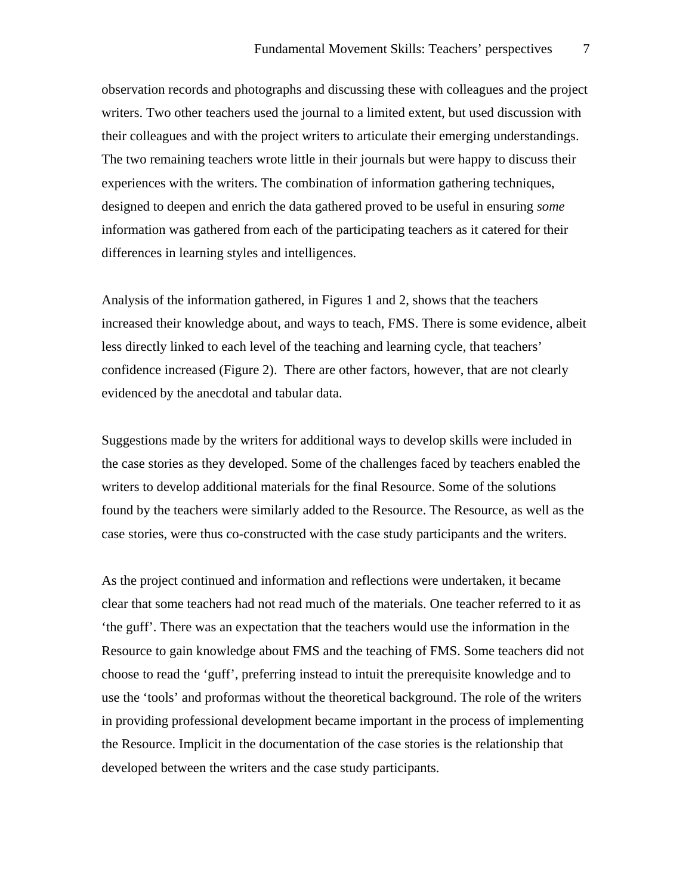observation records and photographs and discussing these with colleagues and the project writers. Two other teachers used the journal to a limited extent, but used discussion with their colleagues and with the project writers to articulate their emerging understandings. The two remaining teachers wrote little in their journals but were happy to discuss their experiences with the writers. The combination of information gathering techniques, designed to deepen and enrich the data gathered proved to be useful in ensuring *some* information was gathered from each of the participating teachers as it catered for their differences in learning styles and intelligences.

Analysis of the information gathered, in Figures 1 and 2, shows that the teachers increased their knowledge about, and ways to teach, FMS. There is some evidence, albeit less directly linked to each level of the teaching and learning cycle, that teachers' confidence increased (Figure 2). There are other factors, however, that are not clearly evidenced by the anecdotal and tabular data.

Suggestions made by the writers for additional ways to develop skills were included in the case stories as they developed. Some of the challenges faced by teachers enabled the writers to develop additional materials for the final Resource. Some of the solutions found by the teachers were similarly added to the Resource. The Resource, as well as the case stories, were thus co-constructed with the case study participants and the writers.

As the project continued and information and reflections were undertaken, it became clear that some teachers had not read much of the materials. One teacher referred to it as 'the guff'. There was an expectation that the teachers would use the information in the Resource to gain knowledge about FMS and the teaching of FMS. Some teachers did not choose to read the 'guff', preferring instead to intuit the prerequisite knowledge and to use the 'tools' and proformas without the theoretical background. The role of the writers in providing professional development became important in the process of implementing the Resource. Implicit in the documentation of the case stories is the relationship that developed between the writers and the case study participants.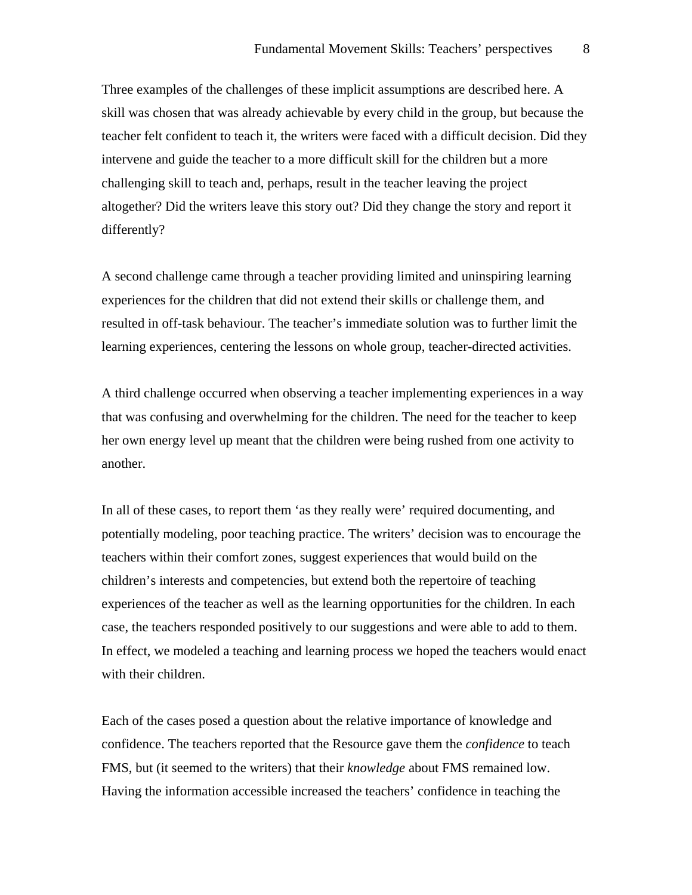Three examples of the challenges of these implicit assumptions are described here. A skill was chosen that was already achievable by every child in the group, but because the teacher felt confident to teach it, the writers were faced with a difficult decision. Did they intervene and guide the teacher to a more difficult skill for the children but a more challenging skill to teach and, perhaps, result in the teacher leaving the project altogether? Did the writers leave this story out? Did they change the story and report it differently?

A second challenge came through a teacher providing limited and uninspiring learning experiences for the children that did not extend their skills or challenge them, and resulted in off-task behaviour. The teacher's immediate solution was to further limit the learning experiences, centering the lessons on whole group, teacher-directed activities.

A third challenge occurred when observing a teacher implementing experiences in a way that was confusing and overwhelming for the children. The need for the teacher to keep her own energy level up meant that the children were being rushed from one activity to another.

In all of these cases, to report them 'as they really were' required documenting, and potentially modeling, poor teaching practice. The writers' decision was to encourage the teachers within their comfort zones, suggest experiences that would build on the children's interests and competencies, but extend both the repertoire of teaching experiences of the teacher as well as the learning opportunities for the children. In each case, the teachers responded positively to our suggestions and were able to add to them. In effect, we modeled a teaching and learning process we hoped the teachers would enact with their children.

Each of the cases posed a question about the relative importance of knowledge and confidence. The teachers reported that the Resource gave them the *confidence* to teach FMS, but (it seemed to the writers) that their *knowledge* about FMS remained low. Having the information accessible increased the teachers' confidence in teaching the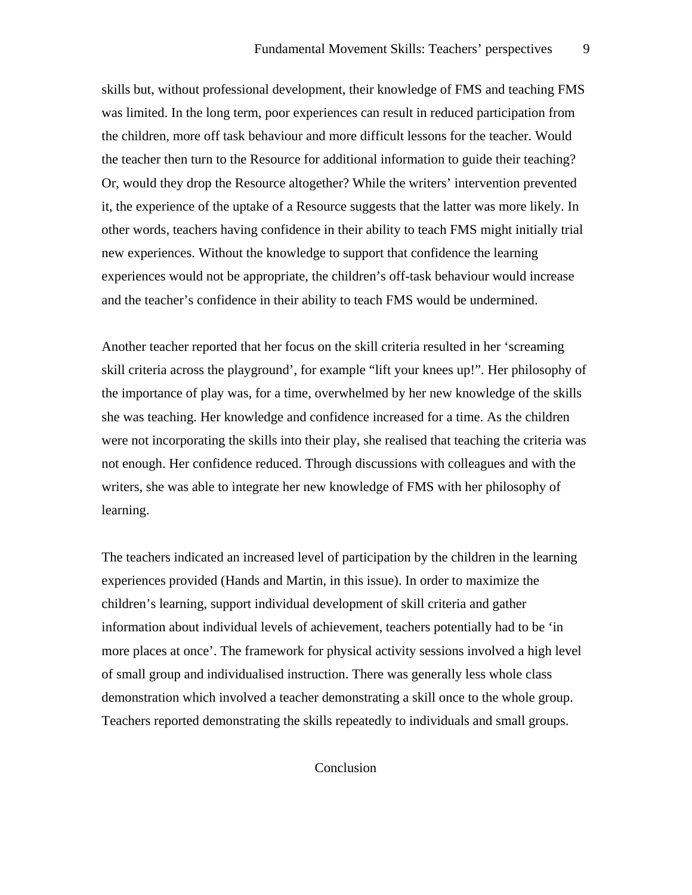skills but, without professional development, their knowledge of FMS and teaching FMS was limited. In the long term, poor experiences can result in reduced participation from the children, more off task behaviour and more difficult lessons for the teacher. Would the teacher then turn to the Resource for additional information to guide their teaching? Or, would they drop the Resource altogether? While the writers' intervention prevented it, the experience of the uptake of a Resource suggests that the latter was more likely. In other words, teachers having confidence in their ability to teach FMS might initially trial new experiences. Without the knowledge to support that confidence the learning experiences would not be appropriate, the children's off-task behaviour would increase and the teacher's confidence in their ability to teach FMS would be undermined.

Another teacher reported that her focus on the skill criteria resulted in her 'screaming skill criteria across the playground', for example "lift your knees up!". Her philosophy of the importance of play was, for a time, overwhelmed by her new knowledge of the skills she was teaching. Her knowledge and confidence increased for a time. As the children were not incorporating the skills into their play, she realised that teaching the criteria was not enough. Her confidence reduced. Through discussions with colleagues and with the writers, she was able to integrate her new knowledge of FMS with her philosophy of learning.

The teachers indicated an increased level of participation by the children in the learning experiences provided (Hands and Martin, in this issue). In order to maximize the children's learning, support individual development of skill criteria and gather information about individual levels of achievement, teachers potentially had to be 'in more places at once'. The framework for physical activity sessions involved a high level of small group and individualised instruction. There was generally less whole class demonstration which involved a teacher demonstrating a skill once to the whole group. Teachers reported demonstrating the skills repeatedly to individuals and small groups.

Conclusion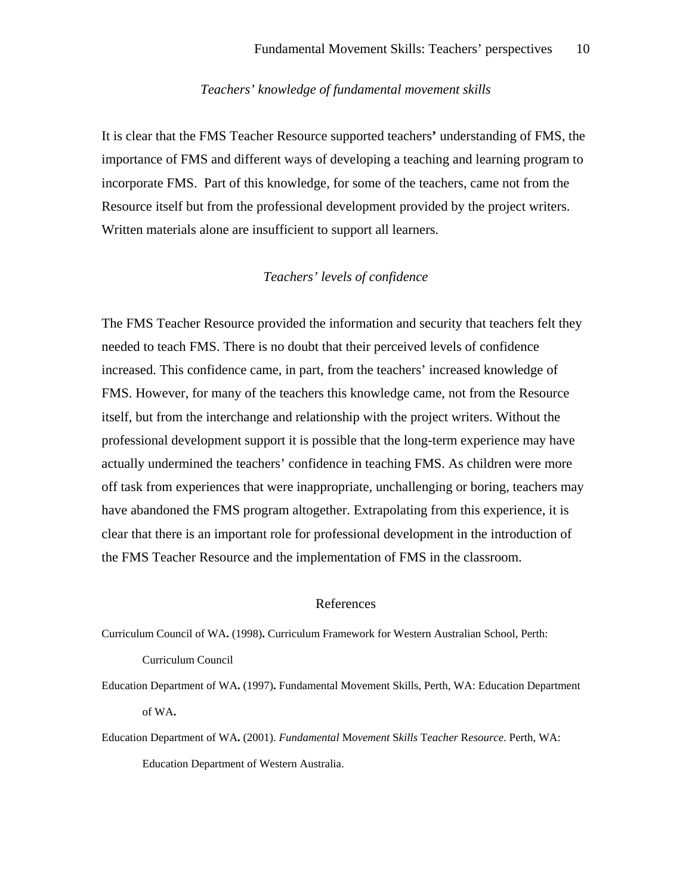## *Teachers' knowledge of fundamental movement skills*

It is clear that the FMS Teacher Resource supported teachers**'** understanding of FMS, the importance of FMS and different ways of developing a teaching and learning program to incorporate FMS. Part of this knowledge, for some of the teachers, came not from the Resource itself but from the professional development provided by the project writers. Written materials alone are insufficient to support all learners.

# *Teachers' levels of confidence*

The FMS Teacher Resource provided the information and security that teachers felt they needed to teach FMS. There is no doubt that their perceived levels of confidence increased. This confidence came, in part, from the teachers' increased knowledge of FMS. However, for many of the teachers this knowledge came, not from the Resource itself, but from the interchange and relationship with the project writers. Without the professional development support it is possible that the long-term experience may have actually undermined the teachers' confidence in teaching FMS. As children were more off task from experiences that were inappropriate, unchallenging or boring, teachers may have abandoned the FMS program altogether. Extrapolating from this experience, it is clear that there is an important role for professional development in the introduction of the FMS Teacher Resource and the implementation of FMS in the classroom.

#### References

Curriculum Council of WA**.** (1998)**.** Curriculum Framework for Western Australian School, Perth:

Curriculum Council

Education Department of WA**.** (1997)**.** Fundamental Movement Skills, Perth, WA: Education Department of WA**.** 

Education Department of WA**.** (2001). *Fundamental* M*ovement* S*kills* T*eacher* R*esource*. Perth, WA: Education Department of Western Australia.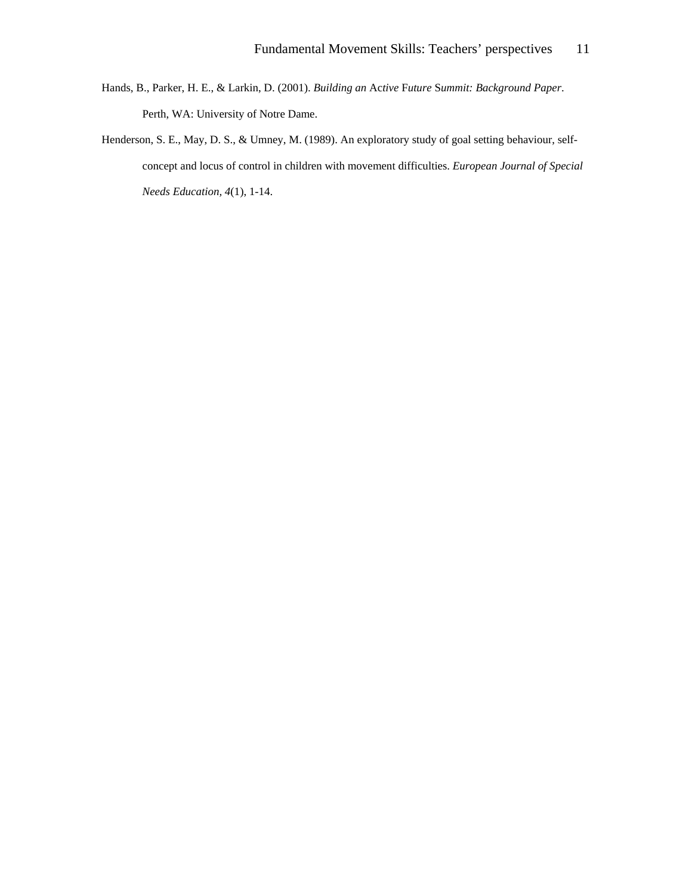- Hands, B., Parker, H. E., & Larkin, D. (2001). *Building an* Ac*tive* F*uture* S*ummit: Background Paper*. Perth, WA: University of Notre Dame.
- Henderson, S. E., May, D. S., & Umney, M. (1989). An exploratory study of goal setting behaviour, selfconcept and locus of control in children with movement difficulties. *European Journal of Special Needs Education, 4*(1), 1-14.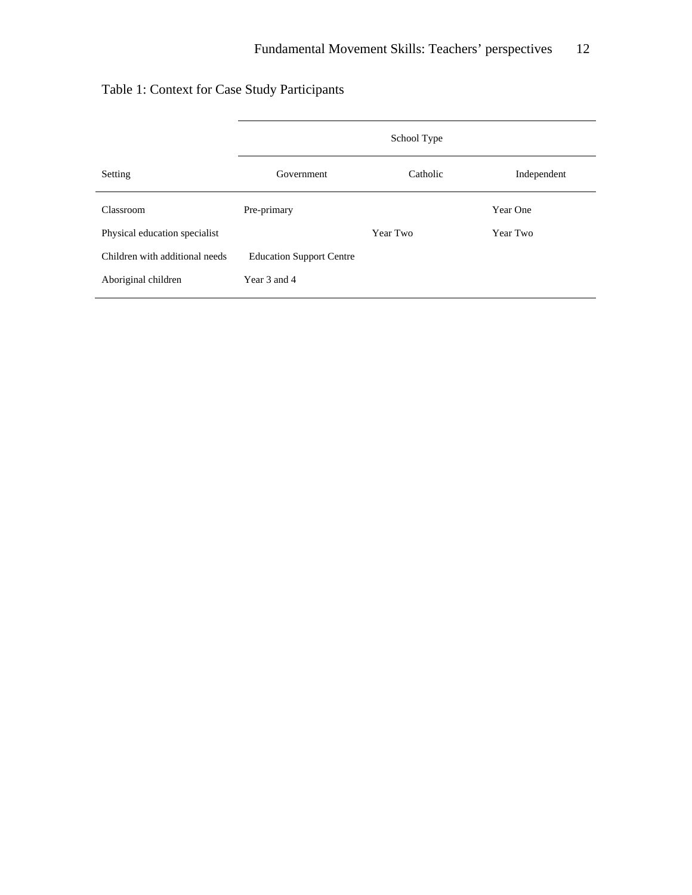|                                | School Type                     |          |             |  |  |
|--------------------------------|---------------------------------|----------|-------------|--|--|
| Setting                        | Government                      | Catholic | Independent |  |  |
| Classroom                      | Pre-primary                     |          | Year One    |  |  |
| Physical education specialist  |                                 | Year Two | Year Two    |  |  |
| Children with additional needs | <b>Education Support Centre</b> |          |             |  |  |
| Aboriginal children            | Year 3 and 4                    |          |             |  |  |

# Table 1: Context for Case Study Participants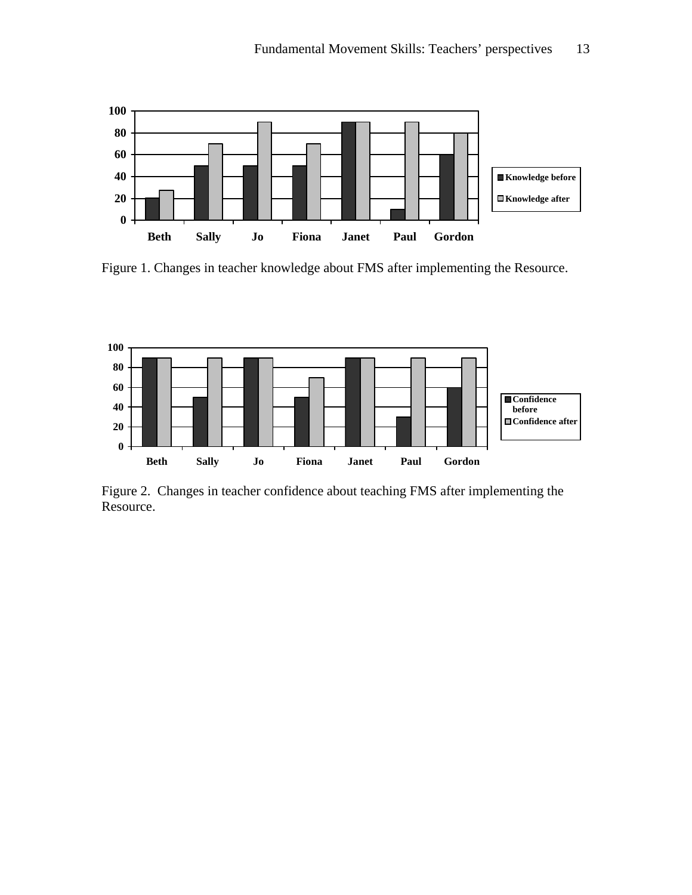

Figure 1. Changes in teacher knowledge about FMS after implementing the Resource.



Figure 2. Changes in teacher confidence about teaching FMS after implementing the Resource.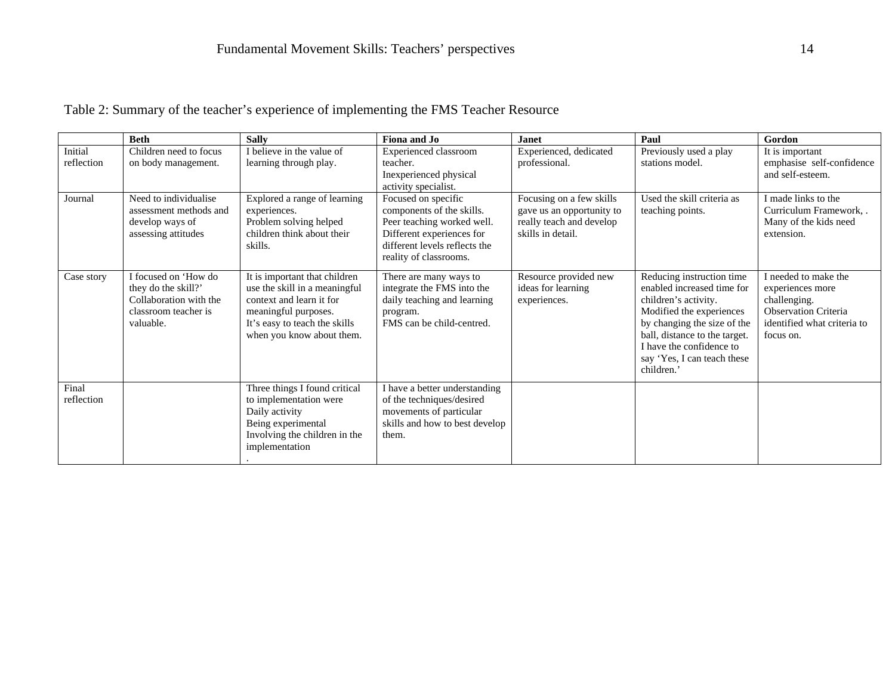|                       | <b>Beth</b>                                                                                                | <b>Sally</b>                                                                                                                                                                     | Fiona and Jo                                                                                                                                                           | <b>Janet</b>                                                                                           | Paul                                                                                                                                                                                                                                                 | Gordon                                                                                                                       |
|-----------------------|------------------------------------------------------------------------------------------------------------|----------------------------------------------------------------------------------------------------------------------------------------------------------------------------------|------------------------------------------------------------------------------------------------------------------------------------------------------------------------|--------------------------------------------------------------------------------------------------------|------------------------------------------------------------------------------------------------------------------------------------------------------------------------------------------------------------------------------------------------------|------------------------------------------------------------------------------------------------------------------------------|
| Initial<br>reflection | Children need to focus<br>on body management.                                                              | I believe in the value of<br>learning through play.                                                                                                                              | Experienced classroom<br>teacher.<br>Inexperienced physical<br>activity specialist.                                                                                    | Experienced, dedicated<br>professional.                                                                | Previously used a play<br>stations model.                                                                                                                                                                                                            | It is important<br>emphasise self-confidence<br>and self-esteem.                                                             |
| Journal               | Need to individualise<br>assessment methods and<br>develop ways of<br>assessing attitudes                  | Explored a range of learning<br>experiences.<br>Problem solving helped<br>children think about their<br>skills.                                                                  | Focused on specific<br>components of the skills.<br>Peer teaching worked well.<br>Different experiences for<br>different levels reflects the<br>reality of classrooms. | Focusing on a few skills<br>gave us an opportunity to<br>really teach and develop<br>skills in detail. | Used the skill criteria as<br>teaching points.                                                                                                                                                                                                       | I made links to the<br>Curriculum Framework<br>Many of the kids need<br>extension.                                           |
| Case story            | I focused on 'How do<br>they do the skill?'<br>Collaboration with the<br>classroom teacher is<br>valuable. | It is important that children<br>use the skill in a meaningful<br>context and learn it for<br>meaningful purposes.<br>It's easy to teach the skills<br>when you know about them. | There are many ways to<br>integrate the FMS into the<br>daily teaching and learning<br>program.<br>FMS can be child-centred.                                           | Resource provided new<br>ideas for learning<br>experiences.                                            | Reducing instruction time<br>enabled increased time for<br>children's activity.<br>Modified the experiences<br>by changing the size of the<br>ball, distance to the target.<br>I have the confidence to<br>say 'Yes, I can teach these<br>children.' | I needed to make the<br>experiences more<br>challenging.<br>Observation Criteria<br>identified what criteria to<br>focus on. |
| Final<br>reflection   |                                                                                                            | Three things I found critical<br>to implementation were<br>Daily activity<br>Being experimental<br>Involving the children in the<br>implementation                               | I have a better understanding<br>of the techniques/desired<br>movements of particular<br>skills and how to best develop<br>them.                                       |                                                                                                        |                                                                                                                                                                                                                                                      |                                                                                                                              |

Table 2: Summary of the teacher's experience of implementing the FMS Teacher Resource